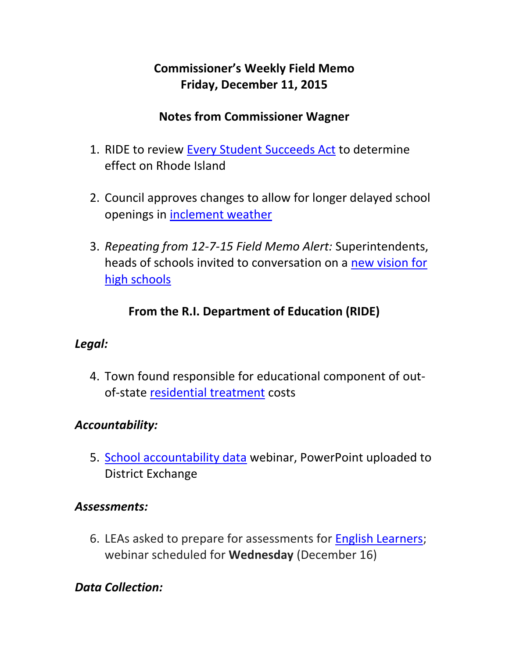# **Commissioner's Weekly Field Memo Friday, December 11, 2015**

#### **Notes from Commissioner Wagner**

- 1. RIDE to review [Every Student Succeeds Act](#page-2-0) to determine effect on Rhode Island
- 2. Council approves changes to allow for longer delayed school openings in [inclement weather](#page-2-1)
- 3. *Repeating from 12-7-15 Field Memo Alert:* Superintendents, heads of schools invited to conversation on a [new vision for](#page-3-0)  [high schools](#page-3-0)

# **From the R.I. Department of Education (RIDE)**

### *Legal:*

4. Town found responsible for educational component of outof-state [residential treatment](#page-4-0) costs

### *Accountability:*

5. [School accountability data](#page-5-0) webinar, PowerPoint uploaded to District Exchange

#### *Assessments:*

6. LEAs asked to prepare for assessments for [English Learners;](#page-5-1) webinar scheduled for **Wednesday** (December 16)

# *Data Collection:*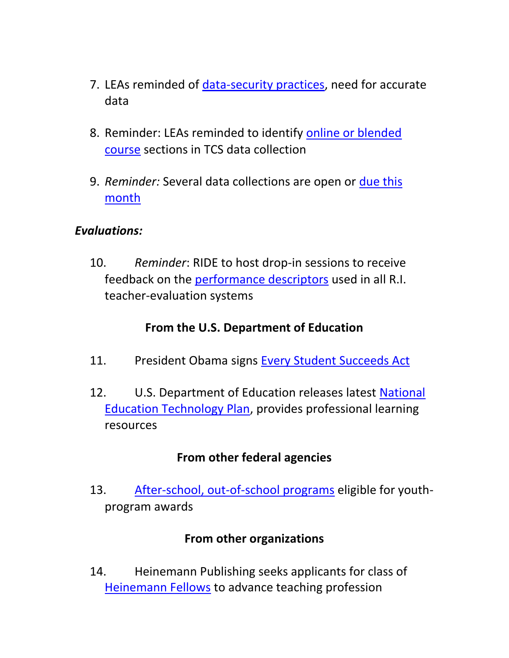- 7. LEAs reminded of [data-security practices,](#page-7-0) need for accurate data
- 8. Reminder: LEAs reminded to identify [online or blended](#page-7-1)  [course](#page-7-1) sections in TCS data collection
- 9. *Reminder:* Several data collections are open or [due this](#page-8-0)  [month](#page-8-0)

#### *Evaluations:*

10. *Reminder*: RIDE to host drop-in sessions to receive feedback on the [performance descriptors](#page-8-1) used in all R.I. teacher-evaluation systems

#### **From the U.S. Department of Education**

- 11. President Obama signs [Every Student Succeeds Act](#page-10-0)
- 12. U.S. Department of Education releases latest [National](#page-12-0)  [Education Technology Plan,](#page-12-0) provides professional learning resources

#### **From other federal agencies**

13. [After-school, out-of-school programs](#page-13-0) eligible for youthprogram awards

#### **From other organizations**

14. Heinemann Publishing seeks applicants for class of [Heinemann Fellows](#page-14-0) to advance teaching profession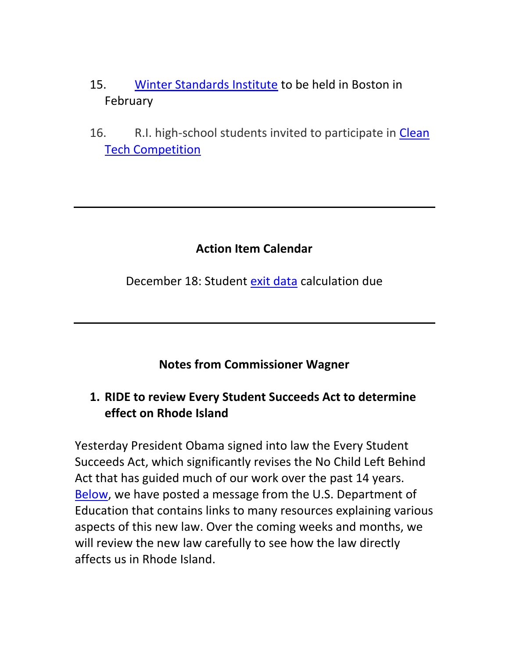- 15. [Winter Standards Institute](#page-14-1) to be held in Boston in February
- 16. R.I. high-school students invited to participate in [Clean](#page-14-2)  [Tech Competition](#page-14-2)

#### **Action Item Calendar**

December 18: Student [exit data](http://ride.ri.gov/Portals/0/Uploads/Documents/112015-FM.pdf) calculation due

#### **Notes from Commissioner Wagner**

### <span id="page-2-0"></span>**1. RIDE to review Every Student Succeeds Act to determine effect on Rhode Island**

<span id="page-2-1"></span>Yesterday President Obama signed into law the Every Student Succeeds Act, which significantly revises the No Child Left Behind Act that has guided much of our work over the past 14 years. [Below,](#page-10-0) we have posted a message from the U.S. Department of Education that contains links to many resources explaining various aspects of this new law. Over the coming weeks and months, we will review the new law carefully to see how the law directly affects us in Rhode Island.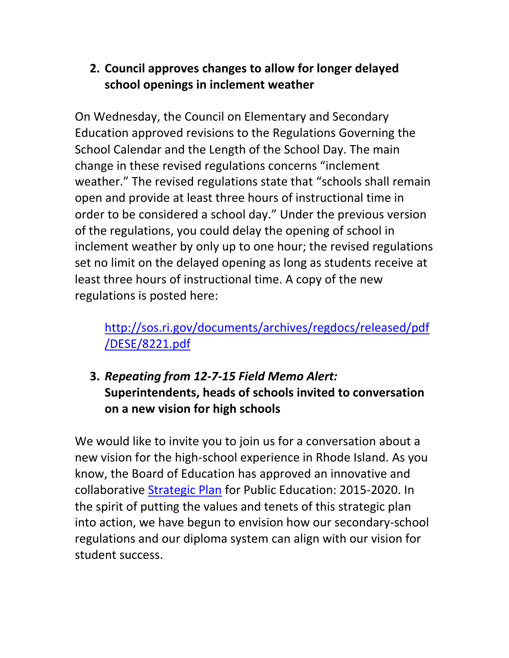## **2. Council approves changes to allow for longer delayed school openings in inclement weather**

On Wednesday, the Council on Elementary and Secondary Education approved revisions to the Regulations Governing the School Calendar and the Length of the School Day. The main change in these revised regulations concerns "inclement weather." The revised regulations state that "schools shall remain open and provide at least three hours of instructional time in order to be considered a school day." Under the previous version of the regulations, you could delay the opening of school in inclement weather by only up to one hour; the revised regulations set no limit on the delayed opening as long as students receive at least three hours of instructional time. A copy of the new regulations is posted here:

# [http://sos.ri.gov/documents/archives/regdocs/released/pdf](http://sos.ri.gov/documents/archives/regdocs/released/pdf/DESE/8221.pdf) [/DESE/8221.pdf](http://sos.ri.gov/documents/archives/regdocs/released/pdf/DESE/8221.pdf)

# <span id="page-3-0"></span>**3.** *Repeating from 12-7-15 Field Memo Alert:*  **Superintendents, heads of schools invited to conversation on a new vision for high schools**

We would like to invite you to join us for a conversation about a new vision for the high-school experience in Rhode Island. As you know, the Board of Education has approved an innovative and collaborative [Strategic Plan](http://ride.ri.gov/Portals/0/Uploads/Documents/Board-of-Education/Strategic-Plan/RIStrategicPlanForPK20Education.pdf) for Public Education: 2015-2020. In the spirit of putting the values and tenets of this strategic plan into action, we have begun to envision how our secondary-school regulations and our diploma system can align with our vision for student success.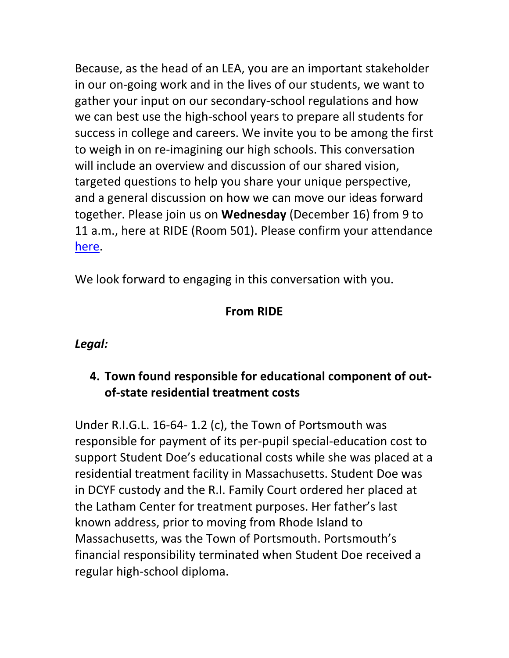Because, as the head of an LEA, you are an important stakeholder in our on-going work and in the lives of our students, we want to gather your input on our secondary-school regulations and how we can best use the high-school years to prepare all students for success in college and careers. We invite you to be among the first to weigh in on re-imagining our high schools. This conversation will include an overview and discussion of our shared vision, targeted questions to help you share your unique perspective, and a general discussion on how we can move our ideas forward together. Please join us on **Wednesday** (December 16) from 9 to 11 a.m., here at RIDE (Room 501). Please confirm your attendance [here.](https://docs.google.com/forms/d/1Z7BqYgSPPAICMyaSjtZTIkBiBgRQbp5h_t0R7qGB4OI/viewform?usp=send_form)

We look forward to engaging in this conversation with you.

### **From RIDE**

#### *Legal:*

### <span id="page-4-0"></span>**4. Town found responsible for educational component of outof-state residential treatment costs**

Under R.I.G.L. 16-64- 1.2 (c), the Town of Portsmouth was responsible for payment of its per-pupil special-education cost to support Student Doe's educational costs while she was placed at a residential treatment facility in Massachusetts. Student Doe was in DCYF custody and the R.I. Family Court ordered her placed at the Latham Center for treatment purposes. Her father's last known address, prior to moving from Rhode Island to Massachusetts, was the Town of Portsmouth. Portsmouth's financial responsibility terminated when Student Doe received a regular high-school diploma.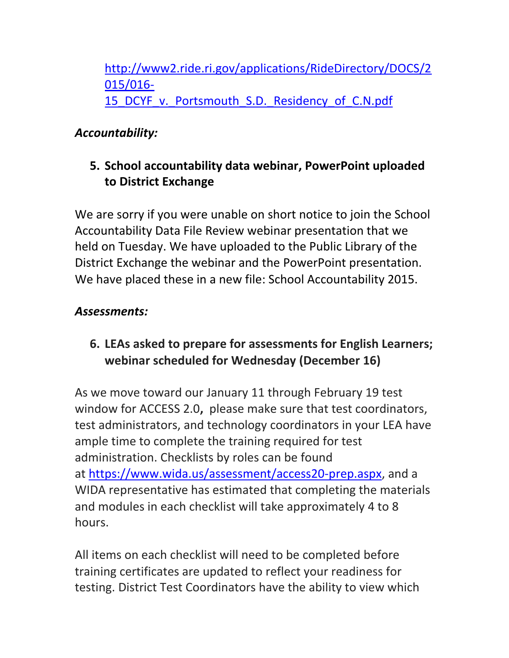[http://www2.ride.ri.gov/applications/RideDirectory/DOCS/2](http://www2.ride.ri.gov/applications/RideDirectory/DOCS/2015/016-15_DCYF_v._Portsmouth_S.D._Residency_of_C.N.pdf) [015/016-](http://www2.ride.ri.gov/applications/RideDirectory/DOCS/2015/016-15_DCYF_v._Portsmouth_S.D._Residency_of_C.N.pdf) 15 DCYF v. Portsmouth S.D. Residency of C.N.pdf

# *Accountability:*

## <span id="page-5-0"></span>**5. School accountability data webinar, PowerPoint uploaded to District Exchange**

We are sorry if you were unable on short notice to join the School Accountability Data File Review webinar presentation that we held on Tuesday. We have uploaded to the Public Library of the District Exchange the webinar and the PowerPoint presentation. We have placed these in a new file: School Accountability 2015.

### *Assessments:*

### <span id="page-5-1"></span>**6. LEAs asked to prepare for assessments for English Learners; webinar scheduled for Wednesday (December 16)**

As we move toward our January 11 through February 19 test window for ACCESS 2.0**,** please make sure that test coordinators, test administrators, and technology coordinators in your LEA have ample time to complete the training required for test administration. Checklists by roles can be found at [https://www.wida.us/assessment/access20-prep.aspx,](https://www.wida.us/assessment/access20-prep.aspx) and a WIDA representative has estimated that completing the materials and modules in each checklist will take approximately 4 to 8 hours.

All items on each checklist will need to be completed before training certificates are updated to reflect your readiness for testing. District Test Coordinators have the ability to view which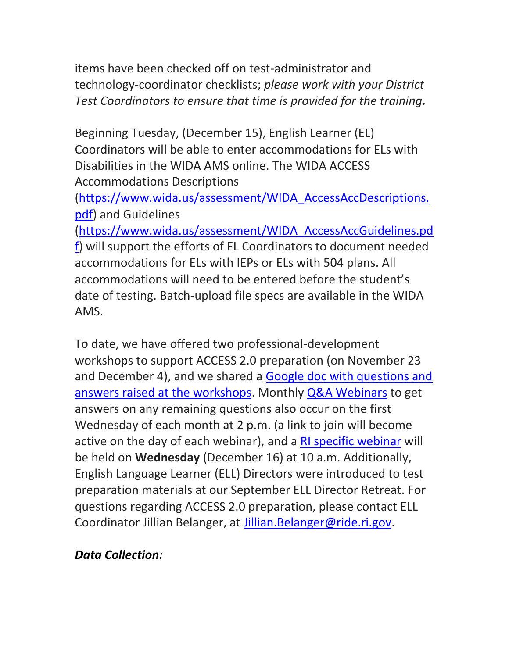items have been checked off on test-administrator and technology-coordinator checklists; *please work with your District Test Coordinators to ensure that time is provided for the training.*

Beginning Tuesday, (December 15), English Learner (EL) Coordinators will be able to enter accommodations for ELs with Disabilities in the WIDA AMS online. The WIDA ACCESS Accommodations Descriptions

[\(https://www.wida.us/assessment/WIDA\\_AccessAccDescriptions.](https://www.wida.us/assessment/WIDA_AccessAccDescriptions.pdf) [pdf\)](https://www.wida.us/assessment/WIDA_AccessAccDescriptions.pdf) and Guidelines

[\(https://www.wida.us/assessment/WIDA\\_AccessAccGuidelines.pd](https://www.wida.us/assessment/WIDA_AccessAccGuidelines.pdf) [f\)](https://www.wida.us/assessment/WIDA_AccessAccGuidelines.pdf) will support the efforts of EL Coordinators to document needed accommodations for ELs with IEPs or ELs with 504 plans. All accommodations will need to be entered before the student's date of testing. Batch-upload file specs are available in the WIDA AMS.

To date, we have offered two professional-development workshops to support ACCESS 2.0 preparation (on November 23 and December 4), and we shared a [Google doc with questions and](https://docs.google.com/document/d/1AOenXTUbUonaVSFJ6pBw2RdREwwbpq5o-ghD9uyjTIM/edit?usp=sharing)  [answers raised at the workshops.](https://docs.google.com/document/d/1AOenXTUbUonaVSFJ6pBw2RdREwwbpq5o-ghD9uyjTIM/edit?usp=sharing) Monthly [Q&A Webinars](https://wida.webex.com/wida/onstage/g.php?MTID=ed7d5246fc55cad974ab8826cf37152cd) to get answers on any remaining questions also occur on the first Wednesday of each month at 2 p.m. (a link to join will become active on the day of each webinar), and a [RI specific webinar](https://attendee.gotowebinar.com/register/4816873950967466753) will be held on **Wednesday** (December 16) at 10 a.m. Additionally, English Language Learner (ELL) Directors were introduced to test preparation materials at our September ELL Director Retreat. For questions regarding ACCESS 2.0 preparation, please contact ELL Coordinator Jillian Belanger, at [Jillian.Belanger@ride.ri.gov.](mailto:Jillian.Belanger@ride.ri.gov)

#### *Data Collection:*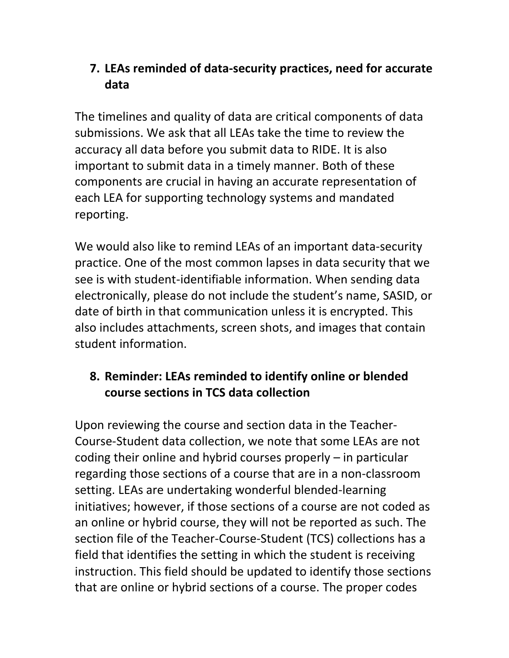## <span id="page-7-0"></span>**7. LEAs reminded of data-security practices, need for accurate data**

The timelines and quality of data are critical components of data submissions. We ask that all LEAs take the time to review the accuracy all data before you submit data to RIDE. It is also important to submit data in a timely manner. Both of these components are crucial in having an accurate representation of each LEA for supporting technology systems and mandated reporting.

We would also like to remind LEAs of an important data-security practice. One of the most common lapses in data security that we see is with student-identifiable information. When sending data electronically, please do not include the student's name, SASID, or date of birth in that communication unless it is encrypted. This also includes attachments, screen shots, and images that contain student information.

# <span id="page-7-1"></span>**8. Reminder: LEAs reminded to identify online or blended course sections in TCS data collection**

Upon reviewing the course and section data in the Teacher-Course-Student data collection, we note that some LEAs are not coding their online and hybrid courses properly – in particular regarding those sections of a course that are in a non-classroom setting. LEAs are undertaking wonderful blended-learning initiatives; however, if those sections of a course are not coded as an online or hybrid course, they will not be reported as such. The section file of the Teacher-Course-Student (TCS) collections has a field that identifies the setting in which the student is receiving instruction. This field should be updated to identify those sections that are online or hybrid sections of a course. The proper codes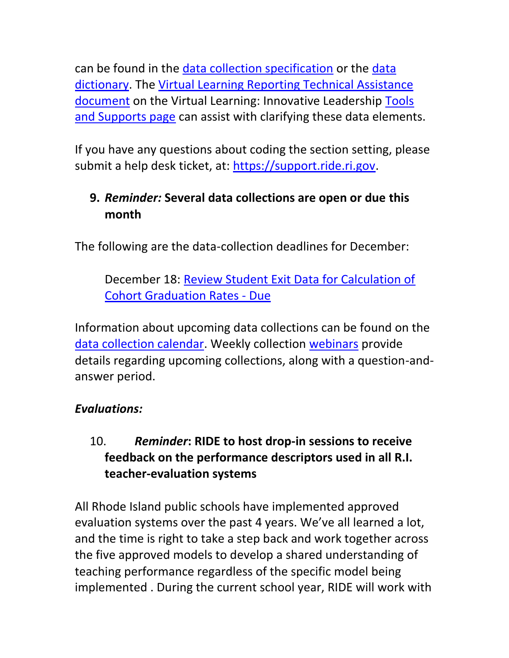can be found in the [data collection specification](http://www.ride.ri.gov/Portals/0/Uploads/Documents/ODAR/TeacherCourseStudentData.pdf) or the [data](https://www.eride.ri.gov/eRide40/DataDictionary/DisplayCodeSets.aspx?CodeTable=SECTIONSETTINGID)  [dictionary.](https://www.eride.ri.gov/eRide40/DataDictionary/DisplayCodeSets.aspx?CodeTable=SECTIONSETTINGID) The [Virtual Learning Reporting Technical Assistance](http://www.ride.ri.gov/Portals/0/Uploads/Documents/Students-and-Families-Great-Schools/Educational-Programming/Virtual-Learning/Virtual-Learning-Reporting-Technical-Assistance.pdf)  [document](http://www.ride.ri.gov/Portals/0/Uploads/Documents/Students-and-Families-Great-Schools/Educational-Programming/Virtual-Learning/Virtual-Learning-Reporting-Technical-Assistance.pdf) on the Virtual Learning: Innovative Leadership [Tools](http://www.ride.ri.gov/StudentsFamilies/EducationPrograms/VirtualLearning/InnovativeLeadership.aspx#33501194-virtual--digital-learning-guidance)  [and Supports page](http://www.ride.ri.gov/StudentsFamilies/EducationPrograms/VirtualLearning/InnovativeLeadership.aspx#33501194-virtual--digital-learning-guidance) can assist with clarifying these data elements.

If you have any questions about coding the section setting, please submit a help desk ticket, at: [https://support.ride.ri.gov.](https://support.ride.ri.gov/)

# <span id="page-8-0"></span>**9.** *Reminder:* **Several data collections are open or due this month**

The following are the data-collection deadlines for December:

December 18: [Review Student Exit Data for Calculation of](https://www.eride.ri.gov/eRide40/DataDictionary/ViewDetails.aspx?ID=302)  [Cohort Graduation Rates -](https://www.eride.ri.gov/eRide40/DataDictionary/ViewDetails.aspx?ID=302) Due

Information about upcoming data collections can be found on the [data collection calendar.](https://www.eride.ri.gov/eRide40/DataDictionary/Calendar.aspx) Weekly collection [webinars](https://attendee.gotowebinar.com/register/1244693710129866241) provide details regarding upcoming collections, along with a question-andanswer period.

### *Evaluations:*

### <span id="page-8-1"></span>10. *Reminder***: RIDE to host drop-in sessions to receive feedback on the performance descriptors used in all R.I. teacher-evaluation systems**

All Rhode Island public schools have implemented approved evaluation systems over the past 4 years. We've all learned a lot, and the time is right to take a step back and work together across the five approved models to develop a shared understanding of teaching performance regardless of the specific model being implemented . During the current school year, RIDE will work with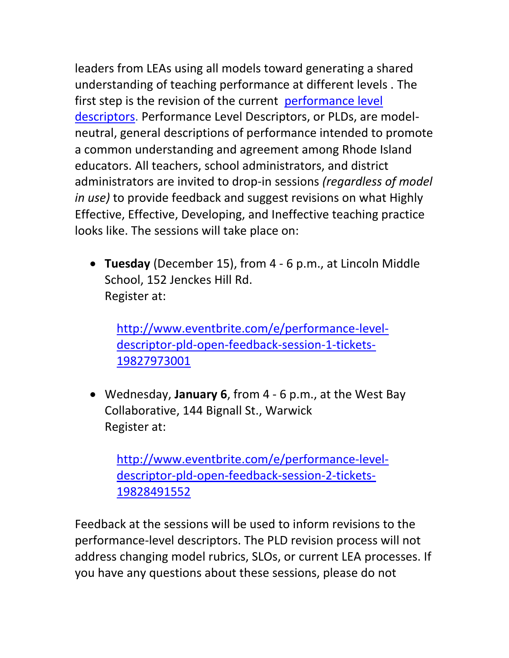leaders from LEAs using all models toward generating a shared understanding of teaching performance at different levels . The first step is the revision of the current [performance level](http://www.ride.ri.gov/Portals/0/Uploads/Documents/Teachers-and-Administrators-Excellent-Educators/Educator-Evaluation/Guidebooks-Forms/Teacher_Guidebook_2015-16.pdf#page=11)  [descriptors.](http://www.ride.ri.gov/Portals/0/Uploads/Documents/Teachers-and-Administrators-Excellent-Educators/Educator-Evaluation/Guidebooks-Forms/Teacher_Guidebook_2015-16.pdf#page=11) Performance Level Descriptors, or PLDs, are modelneutral, general descriptions of performance intended to promote a common understanding and agreement among Rhode Island educators. All teachers, school administrators, and district administrators are invited to drop-in sessions *(regardless of model in use)* to provide feedback and suggest revisions on what Highly Effective, Effective, Developing, and Ineffective teaching practice looks like. The sessions will take place on:

 **Tuesday** (December 15), from 4 - 6 p.m., at Lincoln Middle School, 152 Jenckes Hill Rd. Register at:

[http://www.eventbrite.com/e/performance-level](http://www.eventbrite.com/e/performance-level-descriptor-pld-open-feedback-session-1-tickets-19827973001?aff=utm_source%3Deb_email%26utm_medium%3Demail%26utm_campaign%3Dnew_event_email&utm_term=eventurl_text)[descriptor-pld-open-feedback-session-1-tickets-](http://www.eventbrite.com/e/performance-level-descriptor-pld-open-feedback-session-1-tickets-19827973001?aff=utm_source%3Deb_email%26utm_medium%3Demail%26utm_campaign%3Dnew_event_email&utm_term=eventurl_text)[19827973001](http://www.eventbrite.com/e/performance-level-descriptor-pld-open-feedback-session-1-tickets-19827973001?aff=utm_source%3Deb_email%26utm_medium%3Demail%26utm_campaign%3Dnew_event_email&utm_term=eventurl_text)

 Wednesday, **January 6**, from 4 - 6 p.m., at the West Bay Collaborative, 144 Bignall St., Warwick Register at:

[http://www.eventbrite.com/e/performance-level](http://www.eventbrite.com/e/performance-level-descriptor-pld-open-feedback-session-2-tickets-19828491552?aff=utm_source%3Deb_email%26utm_medium%3Demail%26utm_campaign%3Dnew_event_email&utm_term=eventurl_text)[descriptor-pld-open-feedback-session-2-tickets-](http://www.eventbrite.com/e/performance-level-descriptor-pld-open-feedback-session-2-tickets-19828491552?aff=utm_source%3Deb_email%26utm_medium%3Demail%26utm_campaign%3Dnew_event_email&utm_term=eventurl_text)[19828491552](http://www.eventbrite.com/e/performance-level-descriptor-pld-open-feedback-session-2-tickets-19828491552?aff=utm_source%3Deb_email%26utm_medium%3Demail%26utm_campaign%3Dnew_event_email&utm_term=eventurl_text)

Feedback at the sessions will be used to inform revisions to the performance-level descriptors. The PLD revision process will not address changing model rubrics, SLOs, or current LEA processes. If you have any questions about these sessions, please do not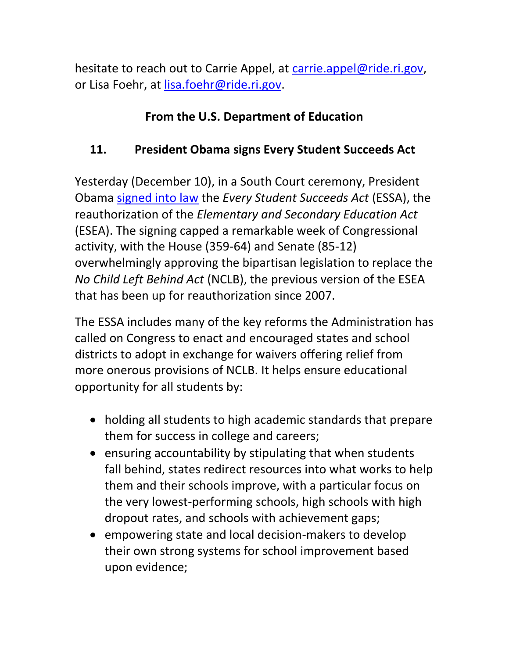hesitate to reach out to Carrie Appel, at [carrie.appel@ride.ri.gov,](mailto:carrie.appel@ride.ri.gov) or Lisa Foehr, at [lisa.foehr@ride.ri.gov.](mailto:lisa.foehr@ride.ri.gov)

# **From the U.S. Department of Education**

# <span id="page-10-0"></span>**11. President Obama signs Every Student Succeeds Act**

Yesterday (December 10), in a South Court ceremony, President Obama [signed into law](https://www.whitehouse.gov/photos-and-video/video/2015/12/10/president-obama-signs-every-student-succeeds-act) the *Every Student Succeeds Act* (ESSA), the reauthorization of the *Elementary and Secondary Education Act* (ESEA). The signing capped a remarkable week of Congressional activity, with the House (359-64) and Senate (85-12) overwhelmingly approving the bipartisan legislation to replace the *No Child Left Behind Act* (NCLB), the previous version of the ESEA that has been up for reauthorization since 2007.

The ESSA includes many of the key reforms the Administration has called on Congress to enact and encouraged states and school districts to adopt in exchange for waivers offering relief from more onerous provisions of NCLB. It helps ensure educational opportunity for all students by:

- holding all students to high academic standards that prepare them for success in college and careers;
- ensuring accountability by stipulating that when students fall behind, states redirect resources into what works to help them and their schools improve, with a particular focus on the very lowest-performing schools, high schools with high dropout rates, and schools with achievement gaps;
- empowering state and local decision-makers to develop their own strong systems for school improvement based upon evidence;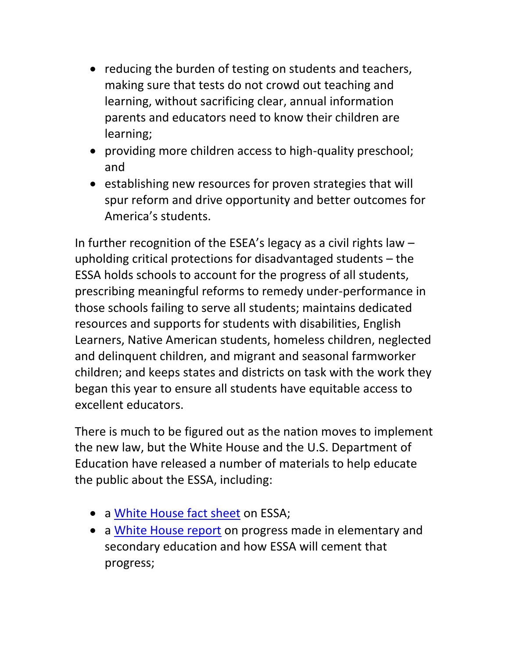- reducing the burden of testing on students and teachers, making sure that tests do not crowd out teaching and learning, without sacrificing clear, annual information parents and educators need to know their children are learning;
- providing more children access to high-quality preschool; and
- establishing new resources for proven strategies that will spur reform and drive opportunity and better outcomes for America's students.

In further recognition of the ESEA's legacy as a civil rights law – upholding critical protections for disadvantaged students – the ESSA holds schools to account for the progress of all students, prescribing meaningful reforms to remedy under-performance in those schools failing to serve all students; maintains dedicated resources and supports for students with disabilities, English Learners, Native American students, homeless children, neglected and delinquent children, and migrant and seasonal farmworker children; and keeps states and districts on task with the work they began this year to ensure all students have equitable access to excellent educators.

There is much to be figured out as the nation moves to implement the new law, but the White House and the U.S. Department of Education have released a number of materials to help educate the public about the ESSA, including:

- a [White House fact sheet](https://www.whitehouse.gov/the-press-office/2015/12/03/fact-sheet-congress-acts-fix-no-child-left-behind) on ESSA;
- a [White House report](https://www.whitehouse.gov/sites/whitehouse.gov/files/documents/ESSA_Progress_Report.pdf) on progress made in elementary and secondary education and how ESSA will cement that progress;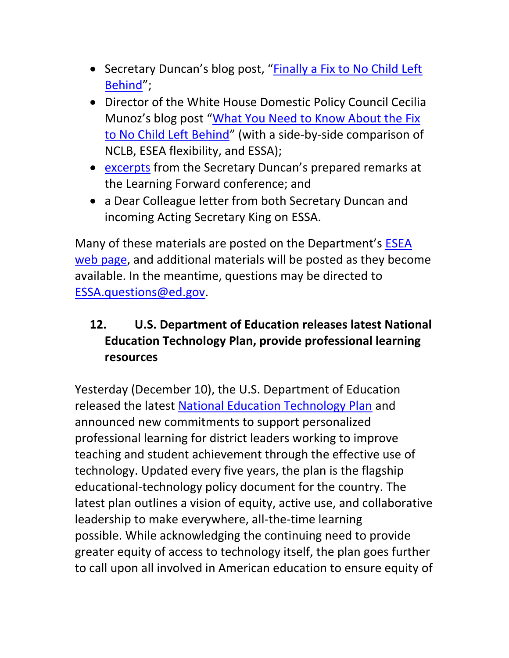- Secretary Duncan's blog post, "Finally a Fix to No Child Left [Behind](https://www.whitehouse.gov/blog/2015/12/03/secretary-arne-duncan-finally-fix-to-no-child-left-behind)";
- Director of the White House Domestic Policy Council Cecilia Munoz's blog post "[What You Need to Know About the Fix](https://www.whitehouse.gov/blog/2015/12/07/qa-what-you-need-know-about-fix-no-child-left-behind)  [to No Child Left Behind](https://www.whitehouse.gov/blog/2015/12/07/qa-what-you-need-know-about-fix-no-child-left-behind)" (with a side-by-side comparison of NCLB, ESEA flexibility, and ESSA);
- [excerpts](http://www.ed.gov/news/press-releases/excerpts-education-secretary-arne-duncan%E2%80%99s-prepared-remarks-learning-forward-conference-today-dec-8) from the Secretary Duncan's prepared remarks at the Learning Forward conference; and
- a Dear Colleague letter from both Secretary Duncan and incoming Acting Secretary King on ESSA.

Many of these materials are posted on the Department's [ESEA](http://www.ed.gov/ESEA)  [web page,](http://www.ed.gov/ESEA) and additional materials will be posted as they become available. In the meantime, questions may be directed to [ESSA.questions@ed.gov.](mailto:ESSA.questions@ed.gov)

# <span id="page-12-0"></span>**12. U.S. Department of Education releases latest National Education Technology Plan, provide professional learning resources**

Yesterday (December 10), the U.S. Department of Education released the latest [National Education Technology Plan](http://tech.ed.gov/netp/) and announced new commitments to support personalized professional learning for district leaders working to improve teaching and student achievement through the effective use of technology. Updated every five years, the plan is the flagship educational-technology policy document for the country. The latest plan outlines a vision of equity, active use, and collaborative leadership to make everywhere, all-the-time learning possible. While acknowledging the continuing need to provide greater equity of access to technology itself, the plan goes further to call upon all involved in American education to ensure equity of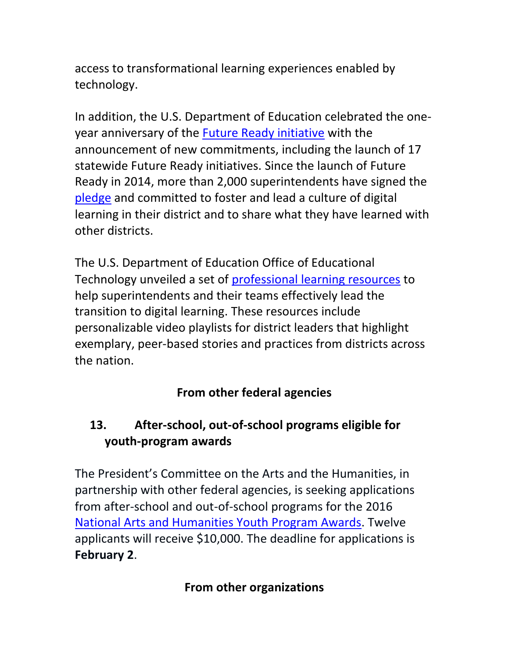access to transformational learning experiences enabled by technology.

In addition, the U.S. Department of Education celebrated the oneyear anniversary of the [Future Ready initiative](http://tech.ed.gov/futureready/) with the announcement of new commitments, including the launch of 17 statewide Future Ready initiatives. Since the launch of Future Ready in 2014, more than 2,000 superintendents have signed the [pledge](http://tech.ed.gov/futurereadypledge/) and committed to foster and lead a culture of digital learning in their district and to share what they have learned with other districts.

The U.S. Department of Education Office of Educational Technology unveiled a set of [professional learning resources](http://tech.ed.gov/leaders) to help superintendents and their teams effectively lead the transition to digital learning. These resources include personalizable video playlists for district leaders that highlight exemplary, peer-based stories and practices from districts across the nation.

# **From other federal agencies**

# <span id="page-13-0"></span>**13. After-school, out-of-school programs eligible for youth-program awards**

The President's Committee on the Arts and the Humanities, in partnership with other federal agencies, is seeking applications from after-school and out-of-school programs for the 2016 [National Arts and Humanities Youth](http://www.nahyp.org/) Program Awards. Twelve applicants will receive \$10,000. The deadline for applications is **February 2**.

### **From other organizations**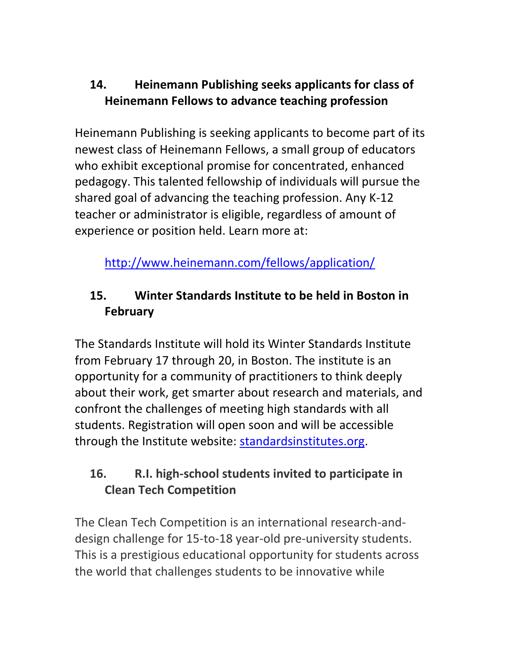# <span id="page-14-0"></span>**14. Heinemann Publishing seeks applicants for class of Heinemann Fellows to advance teaching profession**

Heinemann Publishing is seeking applicants to become part of its newest class of Heinemann Fellows, a small group of educators who exhibit exceptional promise for concentrated, enhanced pedagogy. This talented fellowship of individuals will pursue the shared goal of advancing the teaching profession. Any K-12 teacher or administrator is eligible, regardless of amount of experience or position held. Learn more at:

<http://www.heinemann.com/fellows/application/>

# <span id="page-14-1"></span>**15. Winter Standards Institute to be held in Boston in February**

The Standards Institute will hold its Winter Standards Institute from February 17 through 20, in Boston. The institute is an opportunity for a community of practitioners to think deeply about their work, get smarter about research and materials, and confront the challenges of meeting high standards with all students. Registration will open soon and will be accessible through the Institute website: [standardsinstitutes.org.](http://standardsinstitutes.org/)

# <span id="page-14-2"></span>**16. R.I. high-school students invited to participate in Clean Tech Competition**

The Clean Tech Competition is an international research-anddesign challenge for 15-to-18 year-old pre-university students. This is a prestigious educational opportunity for students across the world that challenges students to be innovative while